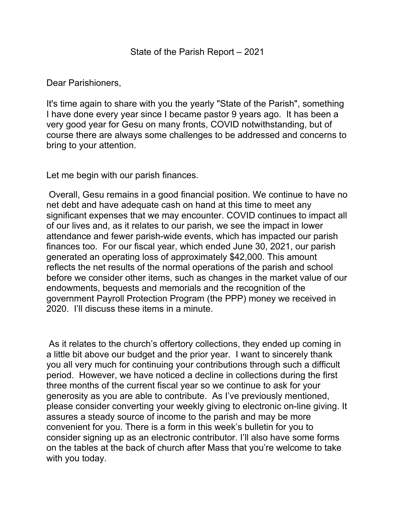## Dear Parishioners,

It's time again to share with you the yearly "State of the Parish", something I have done every year since I became pastor 9 years ago. It has been a very good year for Gesu on many fronts, COVID notwithstanding, but of course there are always some challenges to be addressed and concerns to bring to your attention.

Let me begin with our parish finances.

 Overall, Gesu remains in a good financial position. We continue to have no net debt and have adequate cash on hand at this time to meet any significant expenses that we may encounter. COVID continues to impact all of our lives and, as it relates to our parish, we see the impact in lower attendance and fewer parish-wide events, which has impacted our parish finances too. For our fiscal year, which ended June 30, 2021, our parish generated an operating loss of approximately \$42,000. This amount reflects the net results of the normal operations of the parish and school before we consider other items, such as changes in the market value of our endowments, bequests and memorials and the recognition of the government Payroll Protection Program (the PPP) money we received in 2020. I'll discuss these items in a minute.

 As it relates to the church's offertory collections, they ended up coming in a little bit above our budget and the prior year. I want to sincerely thank you all very much for continuing your contributions through such a difficult period. However, we have noticed a decline in collections during the first three months of the current fiscal year so we continue to ask for your generosity as you are able to contribute. As I've previously mentioned, please consider converting your weekly giving to electronic on-line giving. It assures a steady source of income to the parish and may be more convenient for you. There is a form in this week's bulletin for you to consider signing up as an electronic contributor. I'll also have some forms on the tables at the back of church after Mass that you're welcome to take with you today.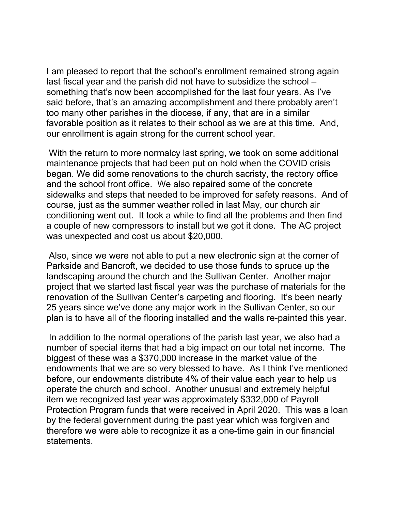I am pleased to report that the school's enrollment remained strong again last fiscal year and the parish did not have to subsidize the school – something that's now been accomplished for the last four years. As I've said before, that's an amazing accomplishment and there probably aren't too many other parishes in the diocese, if any, that are in a similar favorable position as it relates to their school as we are at this time. And, our enrollment is again strong for the current school year.

 With the return to more normalcy last spring, we took on some additional maintenance projects that had been put on hold when the COVID crisis began. We did some renovations to the church sacristy, the rectory office and the school front office. We also repaired some of the concrete sidewalks and steps that needed to be improved for safety reasons. And of course, just as the summer weather rolled in last May, our church air conditioning went out. It took a while to find all the problems and then find a couple of new compressors to install but we got it done. The AC project was unexpected and cost us about \$20,000.

 Also, since we were not able to put a new electronic sign at the corner of Parkside and Bancroft, we decided to use those funds to spruce up the landscaping around the church and the Sullivan Center. Another major project that we started last fiscal year was the purchase of materials for the renovation of the Sullivan Center's carpeting and flooring. It's been nearly 25 years since we've done any major work in the Sullivan Center, so our plan is to have all of the flooring installed and the walls re-painted this year.

 In addition to the normal operations of the parish last year, we also had a number of special items that had a big impact on our total net income. The biggest of these was a \$370,000 increase in the market value of the endowments that we are so very blessed to have. As I think I've mentioned before, our endowments distribute 4% of their value each year to help us operate the church and school. Another unusual and extremely helpful item we recognized last year was approximately \$332,000 of Payroll Protection Program funds that were received in April 2020. This was a loan by the federal government during the past year which was forgiven and therefore we were able to recognize it as a one-time gain in our financial statements.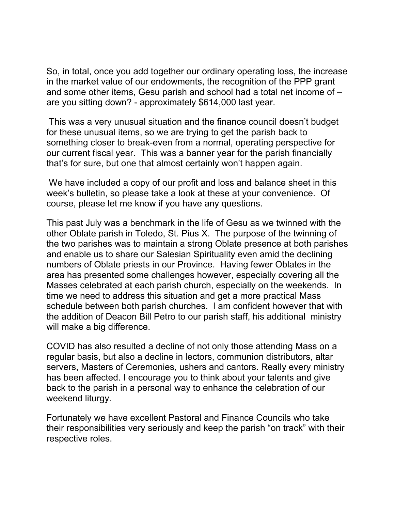So, in total, once you add together our ordinary operating loss, the increase in the market value of our endowments, the recognition of the PPP grant and some other items, Gesu parish and school had a total net income of – are you sitting down? - approximately \$614,000 last year.

 This was a very unusual situation and the finance council doesn't budget for these unusual items, so we are trying to get the parish back to something closer to break-even from a normal, operating perspective for our current fiscal year. This was a banner year for the parish financially that's for sure, but one that almost certainly won't happen again.

 We have included a copy of our profit and loss and balance sheet in this week's bulletin, so please take a look at these at your convenience. Of course, please let me know if you have any questions.

This past July was a benchmark in the life of Gesu as we twinned with the other Oblate parish in Toledo, St. Pius X. The purpose of the twinning of the two parishes was to maintain a strong Oblate presence at both parishes and enable us to share our Salesian Spirituality even amid the declining numbers of Oblate priests in our Province. Having fewer Oblates in the area has presented some challenges however, especially covering all the Masses celebrated at each parish church, especially on the weekends. In time we need to address this situation and get a more practical Mass schedule between both parish churches. I am confident however that with the addition of Deacon Bill Petro to our parish staff, his additional ministry will make a big difference.

COVID has also resulted a decline of not only those attending Mass on a regular basis, but also a decline in lectors, communion distributors, altar servers, Masters of Ceremonies, ushers and cantors. Really every ministry has been affected. I encourage you to think about your talents and give back to the parish in a personal way to enhance the celebration of our weekend liturgy.

Fortunately we have excellent Pastoral and Finance Councils who take their responsibilities very seriously and keep the parish "on track" with their respective roles.